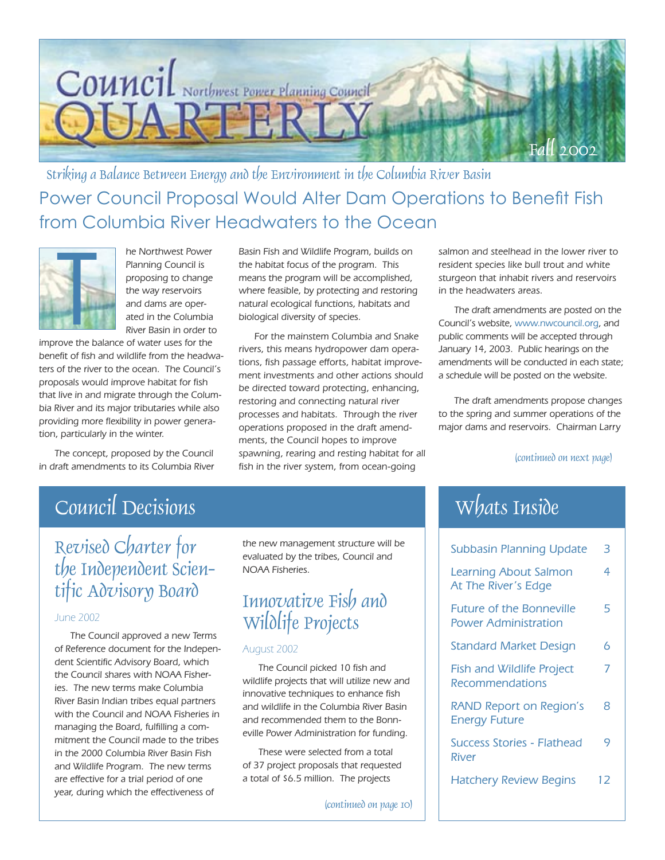

Striking a Balance Between Energy and the Environment in the Columbia River Basin Power Council Proposal Would Alter Dam Operations to Benefit Fish from Columbia River Headwaters to the Ocean



he Northwest Power Planning Council is proposing to change the way reservoirs and dams are operated in the Columbia River Basin in order to internal and dams are oper-<br>
proposing to change the way reservoirs<br>
and dams are oper-<br>
ated in the Columbia<br>
River Basin in order to<br>
improve the balance of water uses for the

benefit of fish and wildlife from the headwaters of the river to the ocean. The Council's proposals would improve habitat for fish that live in and migrate through the Columbia River and its major tributaries while also providing more flexibility in power generation, particularly in the winter.

The concept, proposed by the Council in draft amendments to its Columbia River

Basin Fish and Wildlife Program, builds on the habitat focus of the program. This means the program will be accomplished, where feasible, by protecting and restoring natural ecological functions, habitats and biological diversity of species.

For the mainstem Columbia and Snake rivers, this means hydropower dam operations, fish passage efforts, habitat improvement investments and other actions should be directed toward protecting, enhancing, restoring and connecting natural river processes and habitats. Through the river operations proposed in the draft amendments, the Council hopes to improve spawning, rearing and resting habitat for all fish in the river system, from ocean-going

salmon and steelhead in the lower river to resident species like bull trout and white sturgeon that inhabit rivers and reservoirs in the headwaters areas.

The draft amendments are posted on the Council's website, www.nwcouncil.org, and public comments will be accepted through January 14, 2003. Public hearings on the amendments will be conducted in each state; a schedule will be posted on the website.

The draft amendments propose changes to the spring and summer operations of the major dams and reservoirs. Chairman Larry

(continued on next page)

# Council Decisions

Revised Charter for the Independent Scientific Advisory Board

#### June 2002

The Council approved a new Terms of Reference document for the Independent Scientific Advisory Board, which the Council shares with NOAA Fisheries. The new terms make Columbia River Basin Indian tribes equal partners with the Council and NOAA Fisheries in managing the Board, fulfilling a commitment the Council made to the tribes in the 2000 Columbia River Basin Fish and Wildlife Program. The new terms are effective for a trial period of one year, during which the effectiveness of

the new management structure will be evaluated by the tribes, Council and NOAA Fisheries.

### Innovative Fish and Wildlife Projects

#### August 2002

The Council picked 10 fish and wildlife projects that will utilize new and innovative techniques to enhance fish and wildlife in the Columbia River Basin and recommended them to the Bonneville Power Administration for funding.

These were selected from a total of 37 project proposals that requested a total of \$6.5 million. The projects

(continued on page 10)

# Whats Inside

| <b>Subbasin Planning Update</b>                         | 3  |
|---------------------------------------------------------|----|
| <b>Learning About Salmon</b><br>At The River's Edge     | 4  |
| Future of the Bonneville<br><b>Power Administration</b> | 5  |
| <b>Standard Market Design</b>                           | 6  |
| <b>Fish and Wildlife Project</b><br>Recommendations     | 7  |
| <b>RAND Report on Region's</b><br><b>Energy Future</b>  | 8  |
| <b>Success Stories - Flathead</b><br>River              | 9  |
| <b>Hatchery Review Begins</b>                           | 12 |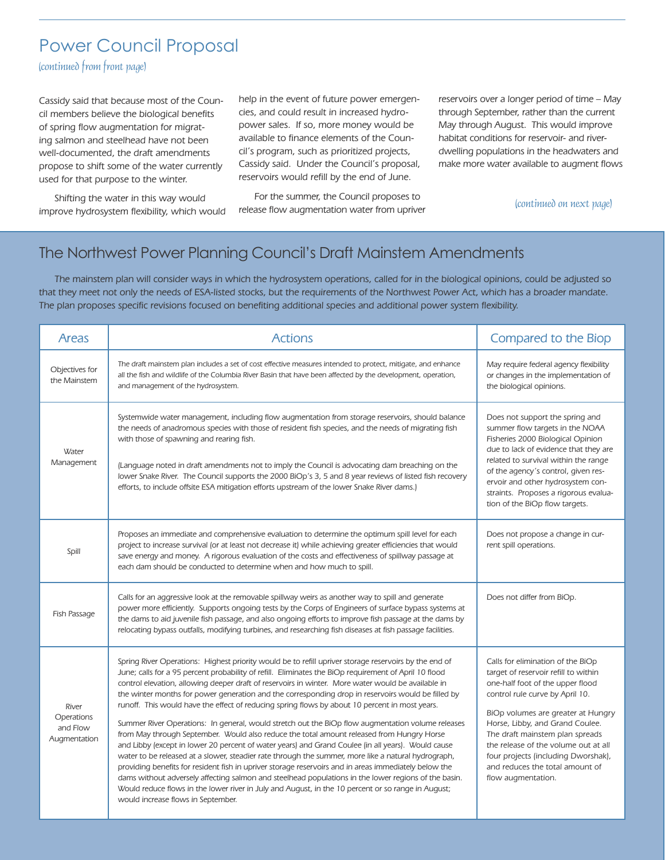### Power Council Proposal

(continued from front page)

Cassidy said that because most of the Council members believe the biological benefits of spring flow augmentation for migrating salmon and steelhead have not been well-documented, the draft amendments propose to shift some of the water currently used for that purpose to the winter.

Shifting the water in this way would improve hydrosystem flexibility, which would help in the event of future power emergencies, and could result in increased hydropower sales. If so, more money would be available to finance elements of the Council's program, such as prioritized projects, Cassidy said. Under the Council's proposal, reservoirs would refill by the end of June.

For the summer, the Council proposes to release flow augmentation water from upriver reservoirs over a longer period of time – May through September, rather than the current May through August. This would improve habitat conditions for reservoir- and riverdwelling populations in the headwaters and make more water available to augment flows

(continued on next page)

2 3

### The Northwest Power Planning Council's Draft Mainstem Amendments

The mainstem plan will consider ways in which the hydrosystem operations, called for in the biological opinions, could be adjusted so that they meet not only the needs of ESA-listed stocks, but the requirements of the Northwest Power Act, which has a broader mandate. The plan proposes specific revisions focused on benefiting additional species and additional power system flexibility.

| <b>Areas</b>                                    | <b>Actions</b>                                                                                                                                                                                                                                                                                                                                                                                                                                                                                                                                                                                                                                                                                                                                                                                                                                                                                                                                                                                                                                                                                                                                                                                                                                                                                           | Compared to the Biop                                                                                                                                                                                                                                                                                                                                                                                 |
|-------------------------------------------------|----------------------------------------------------------------------------------------------------------------------------------------------------------------------------------------------------------------------------------------------------------------------------------------------------------------------------------------------------------------------------------------------------------------------------------------------------------------------------------------------------------------------------------------------------------------------------------------------------------------------------------------------------------------------------------------------------------------------------------------------------------------------------------------------------------------------------------------------------------------------------------------------------------------------------------------------------------------------------------------------------------------------------------------------------------------------------------------------------------------------------------------------------------------------------------------------------------------------------------------------------------------------------------------------------------|------------------------------------------------------------------------------------------------------------------------------------------------------------------------------------------------------------------------------------------------------------------------------------------------------------------------------------------------------------------------------------------------------|
| Objectives for<br>the Mainstem                  | The draft mainstem plan includes a set of cost effective measures intended to protect, mitigate, and enhance<br>all the fish and wildlife of the Columbia River Basin that have been affected by the development, operation,<br>and management of the hydrosystem.                                                                                                                                                                                                                                                                                                                                                                                                                                                                                                                                                                                                                                                                                                                                                                                                                                                                                                                                                                                                                                       | May require federal agency flexibility<br>or changes in the implementation of<br>the biological opinions.                                                                                                                                                                                                                                                                                            |
| <b>Water</b><br>Management                      | Systemwide water management, including flow augmentation from storage reservoirs, should balance<br>the needs of anadromous species with those of resident fish species, and the needs of migrating fish<br>with those of spawning and rearing fish.<br>(Language noted in draft amendments not to imply the Council is advocating dam breaching on the<br>lower Snake River. The Council supports the 2000 BiOp's 3, 5 and 8 year reviews of listed fish recovery<br>efforts, to include offsite ESA mitigation efforts upstream of the lower Snake River dams.)                                                                                                                                                                                                                                                                                                                                                                                                                                                                                                                                                                                                                                                                                                                                        | Does not support the spring and<br>summer flow targets in the NOAA<br>Fisheries 2000 Biological Opinion<br>due to lack of evidence that they are<br>related to survival within the range<br>of the agency's control, given res-<br>ervoir and other hydrosystem con-<br>straints. Proposes a rigorous evalua-<br>tion of the BiOp flow targets.                                                      |
| Spill                                           | Proposes an immediate and comprehensive evaluation to determine the optimum spill level for each<br>project to increase survival (or at least not decrease it) while achieving greater efficiencies that would<br>save energy and money. A rigorous evaluation of the costs and effectiveness of spillway passage at<br>each dam should be conducted to determine when and how much to spill.                                                                                                                                                                                                                                                                                                                                                                                                                                                                                                                                                                                                                                                                                                                                                                                                                                                                                                            | Does not propose a change in cur-<br>rent spill operations.                                                                                                                                                                                                                                                                                                                                          |
| Fish Passage                                    | Calls for an aggressive look at the removable spillway weirs as another way to spill and generate<br>power more efficiently. Supports ongoing tests by the Corps of Engineers of surface bypass systems at<br>the dams to aid juvenile fish passage, and also ongoing efforts to improve fish passage at the dams by<br>relocating bypass outfalls, modifying turbines, and researching fish diseases at fish passage facilities.                                                                                                                                                                                                                                                                                                                                                                                                                                                                                                                                                                                                                                                                                                                                                                                                                                                                        | Does not differ from BiOp.                                                                                                                                                                                                                                                                                                                                                                           |
| River<br>Operations<br>and Flow<br>Augmentation | Spring River Operations: Highest priority would be to refill upriver storage reservoirs by the end of<br>June; calls for a 95 percent probability of refill. Eliminates the BiOp requirement of April 10 flood<br>control elevation, allowing deeper draft of reservoirs in winter. More water would be available in<br>the winter months for power generation and the corresponding drop in reservoirs would be filled by<br>runoff. This would have the effect of reducing spring flows by about 10 percent in most years.<br>Summer River Operations: In general, would stretch out the BiOp flow augmentation volume releases<br>from May through September. Would also reduce the total amount released from Hungry Horse<br>and Libby (except in lower 20 percent of water years) and Grand Coulee (in all years). Would cause<br>water to be released at a slower, steadier rate through the summer, more like a natural hydrograph,<br>providing benefits for resident fish in upriver storage reservoirs and in areas immediately below the<br>dams without adversely affecting salmon and steelhead populations in the lower regions of the basin.<br>Would reduce flows in the lower river in July and August, in the 10 percent or so range in August;<br>would increase flows in September. | Calls for elimination of the BiOp<br>target of reservoir refill to within<br>one-half foot of the upper flood<br>control rule curve by April 10.<br>BiOp volumes are greater at Hungry<br>Horse, Libby, and Grand Coulee.<br>The draft mainstem plan spreads<br>the release of the volume out at all<br>four projects (including Dworshak),<br>and reduces the total amount of<br>flow augmentation. |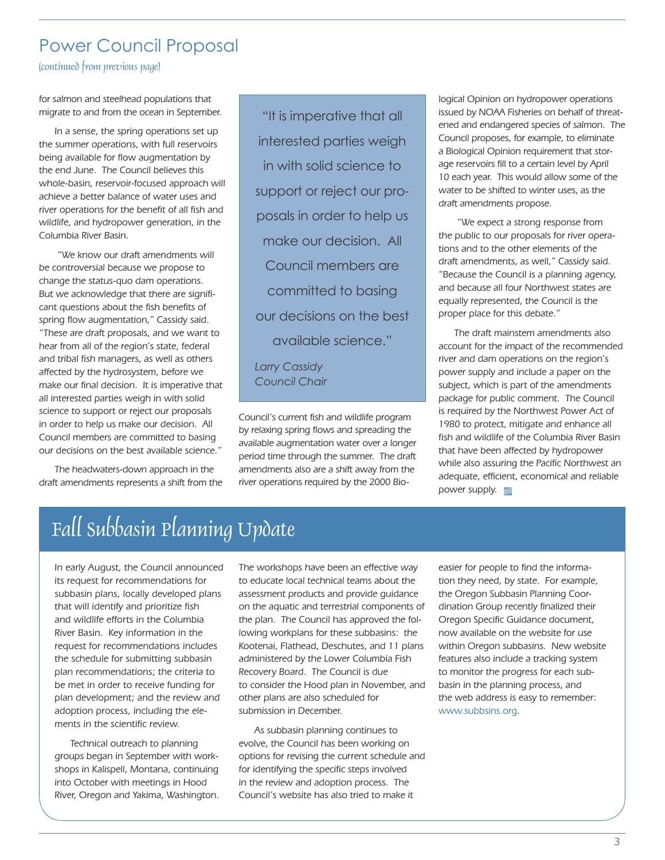### Power Council Proposal

(continued from previous page)

for salmon and steelhead populations that migrate to and from the ocean in September.

In a sense, the spring operations set up the summer operations, with full reservoirs being available for flow augmentation by the end June. The Council believes this whole-basin, reservoir-focused approach will achieve a better balance of water uses and river operations for the benefit of all fish and wildlife, and hydropower generation, in the Columbia River Basin.

 "We know our draft amendments will be controversial because we propose to change the status-quo dam operations. But we acknowledge that there are significant questions about the fish benefits of spring flow augmentation," Cassidy said. "These are draft proposals, and we want to hear from all of the region's state, federal and tribal fish managers, as well as others affected by the hydrosystem, before we make our final decision. It is imperative that all interested parties weigh in with solid science to support or reject our proposals in order to help us make our decision. All Council members are committed to basing our decisions on the best available science."

The headwaters-down approach in the draft amendments represents a shift from the

"It is imperative that all interested parties weigh in with solid science to support or reject our proposals in order to help us make our decision. All Council members are committed to basing our decisions on the best available science."

*Larry Cassidy Council Chair*

Council's current fish and wildlife program by relaxing spring flows and spreading the available augmentation water over a longer period time through the summer. The draft amendments also are a shift away from the river operations required by the 2000 Biological Opinion on hydropower operations issued by NOAA Fisheries on behalf of threatened and endangered species of salmon. The Council proposes, for example, to eliminate a Biological Opinion requirement that storage reservoirs fill to a certain level by April 10 each year. This would allow some of the water to be shifted to winter uses, as the draft amendments propose.

 "We expect a strong response from the public to our proposals for river operations and to the other elements of the draft amendments, as well," Cassidy said. "Because the Council is a planning agency, and because all four Northwest states are equally represented, the Council is the proper place for this debate."

The draft mainstem amendments also account for the impact of the recommended river and dam operations on the region's power supply and include a paper on the subject, which is part of the amendments package for public comment. The Council is required by the Northwest Power Act of 1980 to protect, mitigate and enhance all fish and wildlife of the Columbia River Basin that have been affected by hydropower while also assuring the Pacific Northwest an adequate, efficient, economical and reliable power supply.

# Fall Subbasin Planning Update

In early August, the Council announced its request for recommendations for subbasin plans, locally developed plans that will identify and prioritize fish and wildlife efforts in the Columbia River Basin. Key information in the request for recommendations includes the schedule for submitting subbasin plan recommendations; the criteria to be met in order to receive funding for plan development; and the review and adoption process, including the elements in the scientific review.

Technical outreach to planning groups began in September with workshops in Kalispell, Montana, continuing into October with meetings in Hood River, Oregon and Yakima, Washington. The workshops have been an effective way to educate local technical teams about the assessment products and provide guidance on the aquatic and terrestrial components of the plan. The Council has approved the following workplans for these subbasins: the Kootenai, Flathead, Deschutes, and 11 plans administered by the Lower Columbia Fish Recovery Board. The Council is due to consider the Hood plan in November, and other plans are also scheduled for submission in December.

As subbasin planning continues to evolve, the Council has been working on options for revising the current schedule and for identifying the specific steps involved in the review and adoption process. The Council's website has also tried to make it

easier for people to find the information they need, by state. For example, the Oregon Subbasin Planning Coordination Group recently finalized their Oregon Specific Guidance document, now available on the website for use within Oregon subbasins. New website features also include a tracking system to monitor the progress for each subbasin in the planning process, and the web address is easy to remember: www.subbsins.org.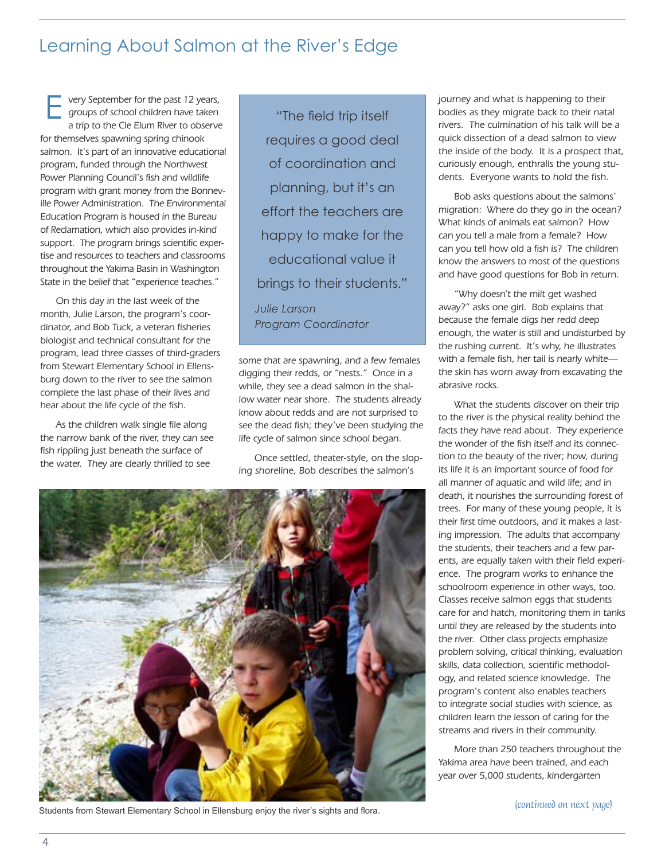### Learning About Salmon at the River's Edge

very September for the past 12 years, groups of school children have taken a trip to the Cle Elum River to observe for themselves spawning spring chinook salmon. It's part of an innovative educational program, funded through the Northwest Power Planning Council's fish and wildlife program with grant money from the Bonneville Power Administration. The Environmental Education Program is housed in the Bureau of Reclamation, which also provides in-kind support. The program brings scientific expertise and resources to teachers and classrooms throughout the Yakima Basin in Washington State in the belief that "experience teaches." E

On this day in the last week of the month, Julie Larson, the program's coordinator, and Bob Tuck, a veteran fisheries biologist and technical consultant for the program, lead three classes of third-graders from Stewart Elementary School in Ellensburg down to the river to see the salmon complete the last phase of their lives and hear about the life cycle of the fish.

As the children walk single file along the narrow bank of the river, they can see fish rippling just beneath the surface of the water. They are clearly thrilled to see

"The field trip itself requires a good deal of coordination and planning, but it's an effort the teachers are happy to make for the educational value it brings to their students." *Julie Larson*

*Program Coordinator*

some that are spawning, and a few females digging their redds, or "nests." Once in a while, they see a dead salmon in the shallow water near shore. The students already know about redds and are not surprised to see the dead fish; they've been studying the life cycle of salmon since school began.

Once settled, theater-style, on the sloping shoreline, Bob describes the salmon's



Students from Stewart Elementary School in Ellensburg enjoy the river's sights and flora. (continued on next page)

journey and what is happening to their bodies as they migrate back to their natal rivers. The culmination of his talk will be a quick dissection of a dead salmon to view the inside of the body. It is a prospect that, curiously enough, enthralls the young students. Everyone wants to hold the fish.

Bob asks questions about the salmons' migration: Where do they go in the ocean? What kinds of animals eat salmon? How can you tell a male from a female? How can you tell how old a fish is? The children know the answers to most of the questions and have good questions for Bob in return.

"Why doesn't the milt get washed away?" asks one girl. Bob explains that because the female digs her redd deep enough, the water is still and undisturbed by the rushing current. It's why, he illustrates with a female fish, her tail is nearly white the skin has worn away from excavating the abrasive rocks.

What the students discover on their trip to the river is the physical reality behind the facts they have read about. They experience the wonder of the fish itself and its connection to the beauty of the river; how, during its life it is an important source of food for all manner of aquatic and wild life; and in death, it nourishes the surrounding forest of trees. For many of these young people, it is their first time outdoors, and it makes a lasting impression. The adults that accompany the students, their teachers and a few parents, are equally taken with their field experience. The program works to enhance the schoolroom experience in other ways, too. Classes receive salmon eggs that students care for and hatch, monitoring them in tanks until they are released by the students into the river. Other class projects emphasize problem solving, critical thinking, evaluation skills, data collection, scientific methodology, and related science knowledge. The program's content also enables teachers to integrate social studies with science, as children learn the lesson of caring for the streams and rivers in their community.

More than 250 teachers throughout the Yakima area have been trained, and each year over 5,000 students, kindergarten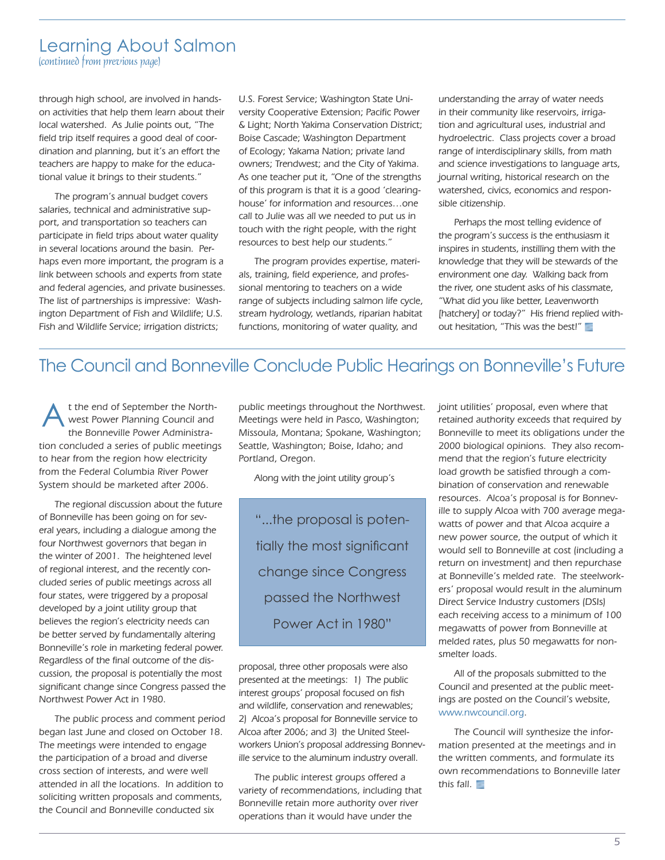### Learning About Salmon

(continued from previous page)

through high school, are involved in handson activities that help them learn about their local watershed. As Julie points out, "The field trip itself requires a good deal of coordination and planning, but it's an effort the teachers are happy to make for the educational value it brings to their students."

The program's annual budget covers salaries, technical and administrative support, and transportation so teachers can participate in field trips about water quality in several locations around the basin. Perhaps even more important, the program is a link between schools and experts from state and federal agencies, and private businesses. The list of partnerships is impressive: Washington Department of Fish and Wildlife; U.S. Fish and Wildlife Service; irrigation districts;

U.S. Forest Service; Washington State University Cooperative Extension; Pacific Power & Light; North Yakima Conservation District; Boise Cascade; Washington Department of Ecology; Yakama Nation; private land owners; Trendwest; and the City of Yakima. As one teacher put it, "One of the strengths of this program is that it is a good 'clearinghouse' for information and resources…one call to Julie was all we needed to put us in touch with the right people, with the right resources to best help our students."

The program provides expertise, materials, training, field experience, and professional mentoring to teachers on a wide range of subjects including salmon life cycle, stream hydrology, wetlands, riparian habitat functions, monitoring of water quality, and

understanding the array of water needs in their community like reservoirs, irrigation and agricultural uses, industrial and hydroelectric. Class projects cover a broad range of interdisciplinary skills, from math and science investigations to language arts, journal writing, historical research on the watershed, civics, economics and responsible citizenship.

Perhaps the most telling evidence of the program's success is the enthusiasm it inspires in students, instilling them with the knowledge that they will be stewards of the environment one day. Walking back from the river, one student asks of his classmate, "What did you like better, Leavenworth [hatchery] or today?" His friend replied without hesitation, "This was the best!"

### The Council and Bonneville Conclude Public Hearings on Bonneville's Future

t the end of September the Northwest Power Planning Council and the Bonneville Power Administration concluded a series of public meetings to hear from the region how electricity from the Federal Columbia River Power System should be marketed after 2006. A

The regional discussion about the future of Bonneville has been going on for several years, including a dialogue among the four Northwest governors that began in the winter of 2001. The heightened level of regional interest, and the recently concluded series of public meetings across all four states, were triggered by a proposal developed by a joint utility group that believes the region's electricity needs can be better served by fundamentally altering Bonneville's role in marketing federal power. Regardless of the final outcome of the discussion, the proposal is potentially the most significant change since Congress passed the Northwest Power Act in 1980.

The public process and comment period began last June and closed on October 18. The meetings were intended to engage the participation of a broad and diverse cross section of interests, and were well attended in all the locations. In addition to soliciting written proposals and comments, the Council and Bonneville conducted six

public meetings throughout the Northwest. Meetings were held in Pasco, Washington; Missoula, Montana; Spokane, Washington; Seattle, Washington; Boise, Idaho; and Portland, Oregon.

Along with the joint utility group's

"...the proposal is potentially the most significant change since Congress passed the Northwest Power Act in 1980"

proposal, three other proposals were also presented at the meetings: 1) The public interest groups' proposal focused on fish and wildlife, conservation and renewables; 2) Alcoa's proposal for Bonneville service to Alcoa after 2006; and 3) the United Steelworkers Union's proposal addressing Bonneville service to the aluminum industry overall.

The public interest groups offered a variety of recommendations, including that Bonneville retain more authority over river operations than it would have under the

joint utilities' proposal, even where that retained authority exceeds that required by Bonneville to meet its obligations under the 2000 biological opinions. They also recommend that the region's future electricity load growth be satisfied through a combination of conservation and renewable resources. Alcoa's proposal is for Bonneville to supply Alcoa with 700 average megawatts of power and that Alcoa acquire a new power source, the output of which it would sell to Bonneville at cost (including a return on investment) and then repurchase at Bonneville's melded rate. The steelworkers' proposal would result in the aluminum Direct Service Industry customers (DSIs) each receiving access to a minimum of 100 megawatts of power from Bonneville at melded rates, plus 50 megawatts for nonsmelter loads.

All of the proposals submitted to the Council and presented at the public meetings are posted on the Council's website, www.nwcouncil.org.

The Council will synthesize the information presented at the meetings and in the written comments, and formulate its own recommendations to Bonneville later this fall.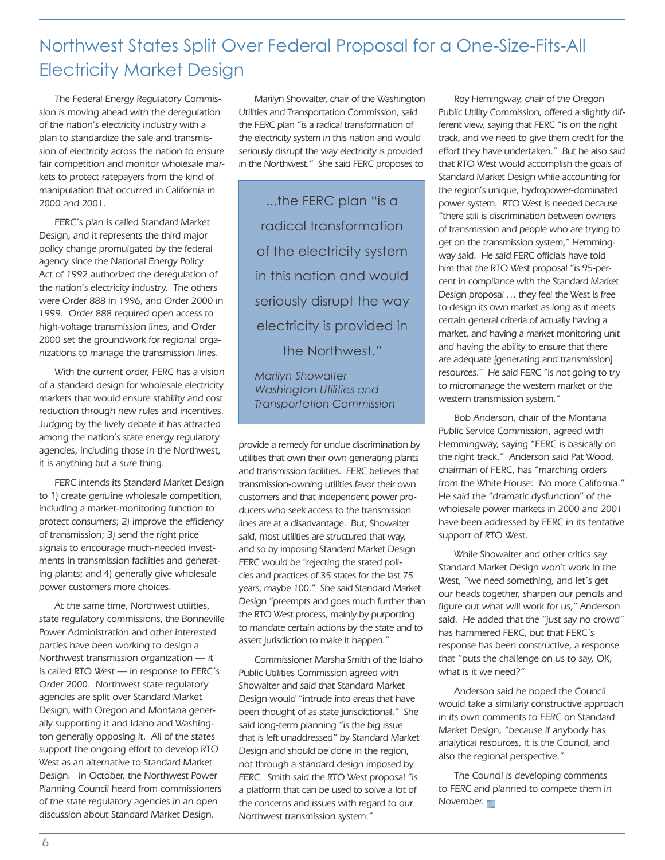### Northwest States Split Over Federal Proposal for a One-Size-Fits-All Electricity Market Design

The Federal Energy Regulatory Commission is moving ahead with the deregulation of the nation's electricity industry with a plan to standardize the sale and transmission of electricity across the nation to ensure fair competition and monitor wholesale markets to protect ratepayers from the kind of manipulation that occurred in California in 2000 and 2001.

FERC's plan is called Standard Market Design, and it represents the third major policy change promulgated by the federal agency since the National Energy Policy Act of 1992 authorized the deregulation of the nation's electricity industry. The others were Order 888 in 1996, and Order 2000 in 1999. Order 888 required open access to high-voltage transmission lines, and Order 2000 set the groundwork for regional organizations to manage the transmission lines.

With the current order, FERC has a vision of a standard design for wholesale electricity markets that would ensure stability and cost reduction through new rules and incentives. Judging by the lively debate it has attracted among the nation's state energy regulatory agencies, including those in the Northwest, it is anything but a sure thing.

FERC intends its Standard Market Design to 1) create genuine wholesale competition, including a market-monitoring function to protect consumers; 2) improve the efficiency of transmission; 3) send the right price signals to encourage much-needed investments in transmission facilities and generating plants; and 4) generally give wholesale power customers more choices.

At the same time, Northwest utilities, state regulatory commissions, the Bonneville Power Administration and other interested parties have been working to design a Northwest transmission organization — it is called RTO West — in response to FERC's Order 2000. Northwest state regulatory agencies are split over Standard Market Design, with Oregon and Montana generally supporting it and Idaho and Washington generally opposing it. All of the states support the ongoing effort to develop RTO West as an alternative to Standard Market Design. In October, the Northwest Power Planning Council heard from commissioners of the state regulatory agencies in an open discussion about Standard Market Design.

Marilyn Showalter, chair of the Washington Utilities and Transportation Commission, said the FERC plan "is a radical transformation of the electricity system in this nation and would seriously disrupt the way electricity is provided in the Northwest." She said FERC proposes to

...the FERC plan "is a radical transformation of the electricity system in this nation and would seriously disrupt the way electricity is provided in the Northwest."

*Marilyn Showalter Washington Utilities and Transportation Commission*

provide a remedy for undue discrimination by utilities that own their own generating plants and transmission facilities. FERC believes that transmission-owning utilities favor their own customers and that independent power producers who seek access to the transmission lines are at a disadvantage. But, Showalter said, most utilities are structured that way, and so by imposing Standard Market Design FERC would be "rejecting the stated policies and practices of 35 states for the last 75 years, maybe 100." She said Standard Market Design "preempts and goes much further than the RTO West process, mainly by purporting to mandate certain actions by the state and to assert jurisdiction to make it happen."

Commissioner Marsha Smith of the Idaho Public Utilities Commission agreed with Showalter and said that Standard Market Design would "intrude into areas that have been thought of as state jurisdictional." She said long-term planning "is the big issue that is left unaddressed" by Standard Market Design and should be done in the region, not through a standard design imposed by FERC. Smith said the RTO West proposal "is a platform that can be used to solve a lot of the concerns and issues with regard to our Northwest transmission system."

Roy Hemingway, chair of the Oregon Public Utility Commission, offered a slightly different view, saying that FERC "is on the right track, and we need to give them credit for the effort they have undertaken." But he also said that RTO West would accomplish the goals of Standard Market Design while accounting for the region's unique, hydropower-dominated power system. RTO West is needed because "there still is discrimination between owners of transmission and people who are trying to get on the transmission system," Hemmingway said. He said FERC officials have told him that the RTO West proposal "is 95-percent in compliance with the Standard Market Design proposal … they feel the West is free to design its own market as long as it meets certain general criteria of actually having a market, and having a market monitoring unit and having the ability to ensure that there are adequate [generating and transmission] resources." He said FERC "is not going to try to micromanage the western market or the western transmission system."

Bob Anderson, chair of the Montana Public Service Commission, agreed with Hemmingway, saying "FERC is basically on the right track." Anderson said Pat Wood, chairman of FERC, has "marching orders from the White House: No more California." He said the "dramatic dysfunction" of the wholesale power markets in 2000 and 2001 have been addressed by FERC in its tentative support of RTO West.

While Showalter and other critics say Standard Market Design won't work in the West, "we need something, and let's get our heads together, sharpen our pencils and figure out what will work for us," Anderson said. He added that the "just say no crowd" has hammered FERC, but that FERC's response has been constructive, a response that "puts the challenge on us to say, OK, what is it we need?"

Anderson said he hoped the Council would take a similarly constructive approach in its own comments to FERC on Standard Market Design, "because if anybody has analytical resources, it is the Council, and also the regional perspective."

The Council is developing comments to FERC and planned to compete them in November.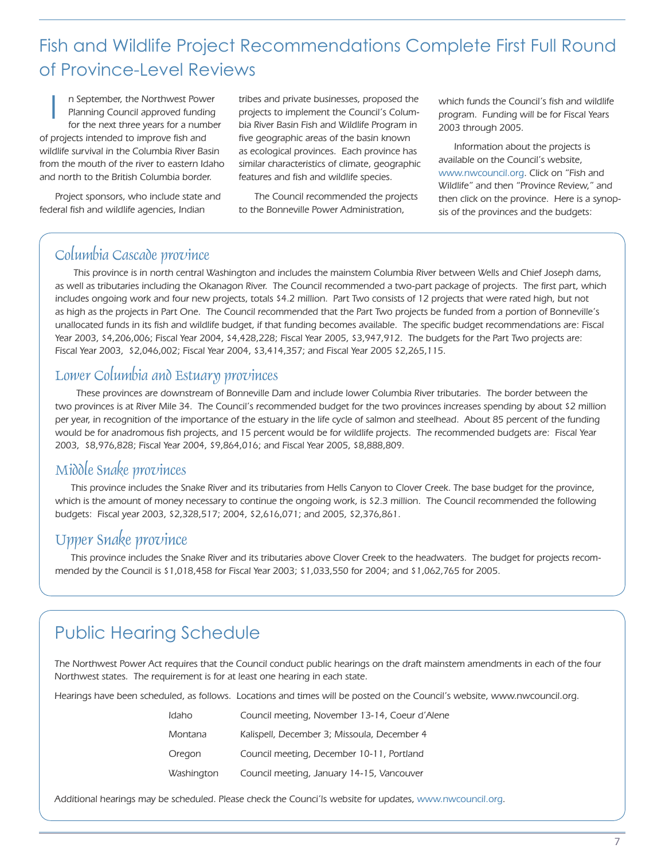### Fish and Wildlife Project Recommendations Complete First Full Round of Province-Level Reviews

n September, the Northwest Power Planning Council approved funding for the next three years for a number of projects intended to improve fish and wildlife survival in the Columbia River Basin from the mouth of the river to eastern Idaho and north to the British Columbia border. **International Contract Contract** 

Project sponsors, who include state and federal fish and wildlife agencies, Indian

tribes and private businesses, proposed the projects to implement the Council's Columbia River Basin Fish and Wildlife Program in five geographic areas of the basin known as ecological provinces. Each province has similar characteristics of climate, geographic features and fish and wildlife species.

The Council recommended the projects to the Bonneville Power Administration,

which funds the Council's fish and wildlife program. Funding will be for Fiscal Years 2003 through 2005.

Information about the projects is available on the Council's website, www.nwcouncil.org. Click on "Fish and Wildlife" and then "Province Review," and then click on the province. Here is a synopsis of the provinces and the budgets:

#### Columbia Cascade province

 This province is in north central Washington and includes the mainstem Columbia River between Wells and Chief Joseph dams, as well as tributaries including the Okanagon River. The Council recommended a two-part package of projects. The first part, which includes ongoing work and four new projects, totals \$4.2 million. Part Two consists of 12 projects that were rated high, but not as high as the projects in Part One. The Council recommended that the Part Two projects be funded from a portion of Bonneville's unallocated funds in its fish and wildlife budget, if that funding becomes available. The specific budget recommendations are: Fiscal Year 2003, \$4,206,006; Fiscal Year 2004, \$4,428,228; Fiscal Year 2005, \$3,947,912. The budgets for the Part Two projects are: Fiscal Year 2003, \$2,046,002; Fiscal Year 2004, \$3,414,357; and Fiscal Year 2005 \$2,265,115.

#### Lower Columbia and Estuary provinces

 These provinces are downstream of Bonneville Dam and include lower Columbia River tributaries. The border between the two provinces is at River Mile 34. The Council's recommended budget for the two provinces increases spending by about \$2 million per year, in recognition of the importance of the estuary in the life cycle of salmon and steelhead. About 85 percent of the funding would be for anadromous fish projects, and 15 percent would be for wildlife projects. The recommended budgets are: Fiscal Year 2003, \$8,976,828; Fiscal Year 2004, \$9,864,016; and Fiscal Year 2005, \$8,888,809.

#### Middle Snake provinces

This province includes the Snake River and its tributaries from Hells Canyon to Clover Creek. The base budget for the province, which is the amount of money necessary to continue the ongoing work, is \$2.3 million. The Council recommended the following budgets: Fiscal year 2003, \$2,328,517; 2004, \$2,616,071; and 2005, \$2,376,861.

### Upper Snake province

This province includes the Snake River and its tributaries above Clover Creek to the headwaters. The budget for projects recommended by the Council is \$1,018,458 for Fiscal Year 2003; \$1,033,550 for 2004; and \$1,062,765 for 2005.

## Public Hearing Schedule

The Northwest Power Act requires that the Council conduct public hearings on the draft mainstem amendments in each of the four Northwest states. The requirement is for at least one hearing in each state.

Hearings have been scheduled, as follows. Locations and times will be posted on the Council's website, www.nwcouncil.org.

| Idaho      | Council meeting, November 13-14, Coeur d'Alene |
|------------|------------------------------------------------|
| Montana    | Kalispell, December 3; Missoula, December 4    |
| Oregon     | Council meeting, December 10-11, Portland      |
| Washington | Council meeting, January 14-15, Vancouver      |

Additional hearings may be scheduled. Please check the Counci'ls website for updates, www.nwcouncil.org.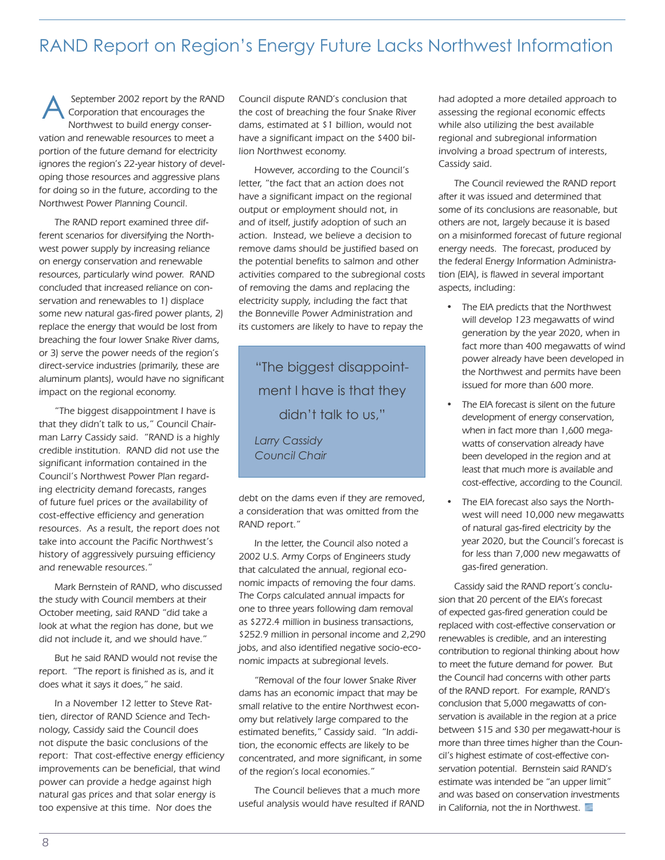### RAND Report on Region's Energy Future Lacks Northwest Information

 September 2002 report by the RAND Corporation that encourages the Northwest to build energy conservation and renewable resources to meet a portion of the future demand for electricity ignores the region's 22-year history of developing those resources and aggressive plans for doing so in the future, according to the Northwest Power Planning Council. A

The RAND report examined three different scenarios for diversifying the Northwest power supply by increasing reliance on energy conservation and renewable resources, particularly wind power. RAND concluded that increased reliance on conservation and renewables to 1) displace some new natural gas-fired power plants, 2) replace the energy that would be lost from breaching the four lower Snake River dams, or 3) serve the power needs of the region's direct-service industries (primarily, these are aluminum plants), would have no significant impact on the regional economy.

"The biggest disappointment I have is that they didn't talk to us," Council Chairman Larry Cassidy said. "RAND is a highly credible institution. RAND did not use the significant information contained in the Council's Northwest Power Plan regarding electricity demand forecasts, ranges of future fuel prices or the availability of cost-effective efficiency and generation resources. As a result, the report does not take into account the Pacific Northwest's history of aggressively pursuing efficiency and renewable resources."

Mark Bernstein of RAND, who discussed the study with Council members at their October meeting, said RAND "did take a look at what the region has done, but we did not include it, and we should have."

But he said RAND would not revise the report. "The report is finished as is, and it does what it says it does," he said.

In a November 12 letter to Steve Rattien, director of RAND Science and Technology, Cassidy said the Council does not dispute the basic conclusions of the report: That cost-effective energy efficiency improvements can be beneficial, that wind power can provide a hedge against high natural gas prices and that solar energy is too expensive at this time. Nor does the

Council dispute RAND's conclusion that the cost of breaching the four Snake River dams, estimated at \$1 billion, would not have a significant impact on the \$400 billion Northwest economy.

However, according to the Council's letter, "the fact that an action does not have a significant impact on the regional output or employment should not, in and of itself, justify adoption of such an action. Instead, we believe a decision to remove dams should be justified based on the potential benefits to salmon and other activities compared to the subregional costs of removing the dams and replacing the electricity supply, including the fact that the Bonneville Power Administration and its customers are likely to have to repay the

"The biggest disappointment I have is that they didn't talk to us,"

*Larry Cassidy Council Chair*

debt on the dams even if they are removed, a consideration that was omitted from the RAND report."

In the letter, the Council also noted a 2002 U.S. Army Corps of Engineers study that calculated the annual, regional economic impacts of removing the four dams. The Corps calculated annual impacts for one to three years following dam removal as \$272.4 million in business transactions, \$252.9 million in personal income and 2,290 jobs, and also identified negative socio-economic impacts at subregional levels.

"Removal of the four lower Snake River dams has an economic impact that may be small relative to the entire Northwest economy but relatively large compared to the estimated benefits," Cassidy said. "In addition, the economic effects are likely to be concentrated, and more significant, in some of the region's local economies."

The Council believes that a much more useful analysis would have resulted if RAND had adopted a more detailed approach to assessing the regional economic effects while also utilizing the best available regional and subregional information involving a broad spectrum of interests, Cassidy said.

The Council reviewed the RAND report after it was issued and determined that some of its conclusions are reasonable, but others are not, largely because it is based on a misinformed forecast of future regional energy needs. The forecast, produced by the federal Energy Information Administration (EIA), is flawed in several important aspects, including:

- The EIA predicts that the Northwest will develop 123 megawatts of wind generation by the year 2020, when in fact more than 400 megawatts of wind power already have been developed in the Northwest and permits have been issued for more than 600 more.
- The EIA forecast is silent on the future development of energy conservation, when in fact more than 1,600 megawatts of conservation already have been developed in the region and at least that much more is available and cost-effective, according to the Council.
- The EIA forecast also says the Northwest will need 10,000 new megawatts of natural gas-fired electricity by the year 2020, but the Council's forecast is for less than 7,000 new megawatts of gas-fired generation.

Cassidy said the RAND report's conclusion that 20 percent of the EIA's forecast of expected gas-fired generation could be replaced with cost-effective conservation or renewables is credible, and an interesting contribution to regional thinking about how to meet the future demand for power. But the Council had concerns with other parts of the RAND report. For example, RAND's conclusion that 5,000 megawatts of conservation is available in the region at a price between \$15 and \$30 per megawatt-hour is more than three times higher than the Council's highest estimate of cost-effective conservation potential. Bernstein said RAND's estimate was intended be "an upper limit" and was based on conservation investments in California, not the in Northwest.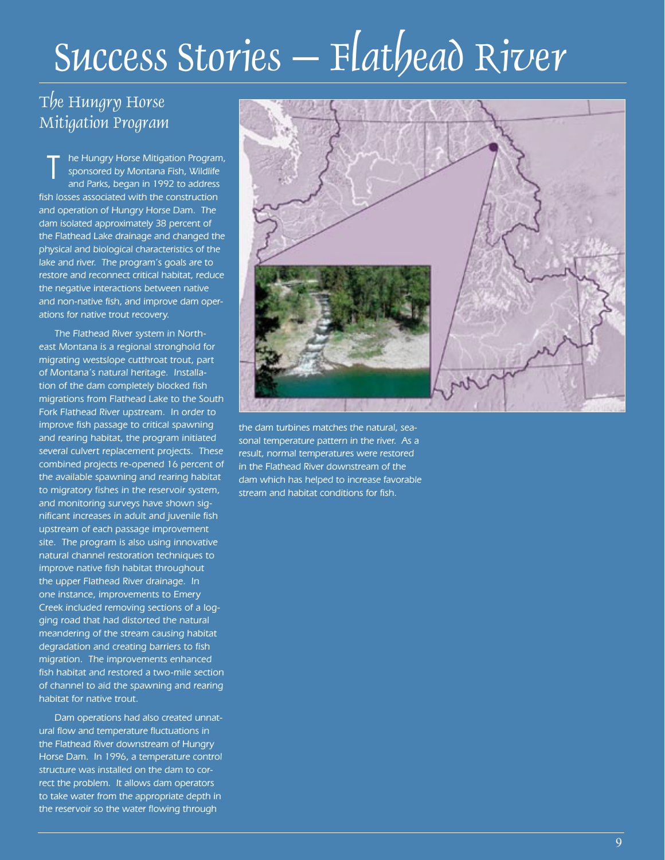# Success Stories – Flathead River

### The Hungry Horse Mitigation Program

he Hungry Horse Mitigation Program, sponsored by Montana Fish, Wildlife and Parks, began in 1992 to address fish losses associated with the construction and operation of Hungry Horse Dam. The dam isolated approximately 38 percent of the Flathead Lake drainage and changed the physical and biological characteristics of the lake and river. The program's goals are to restore and reconnect critical habitat, reduce the negative interactions between native and non-native fish, and improve dam operations for native trout recovery. T

The Flathead River system in Northeast Montana is a regional stronghold for migrating westslope cutthroat trout, part of Montana's natural heritage. Installation of the dam completely blocked fish migrations from Flathead Lake to the South Fork Flathead River upstream. In order to improve fish passage to critical spawning and rearing habitat, the program initiated several culvert replacement projects. These combined projects re-opened 16 percent of the available spawning and rearing habitat to migratory fishes in the reservoir system, and monitoring surveys have shown significant increases in adult and juvenile fish upstream of each passage improvement site. The program is also using innovative natural channel restoration techniques to improve native fish habitat throughout the upper Flathead River drainage. In one instance, improvements to Emery Creek included removing sections of a logging road that had distorted the natural meandering of the stream causing habitat degradation and creating barriers to fish migration. The improvements enhanced fish habitat and restored a two-mile section of channel to aid the spawning and rearing habitat for native trout.

Dam operations had also created unnatural flow and temperature fluctuations in the Flathead River downstream of Hungry Horse Dam. In 1996, a temperature control structure was installed on the dam to correct the problem. It allows dam operators to take water from the appropriate depth in the reservoir so the water flowing through



the dam turbines matches the natural, seasonal temperature pattern in the river. As a result, normal temperatures were restored in the Flathead River downstream of the dam which has helped to increase favorable stream and habitat conditions for fish.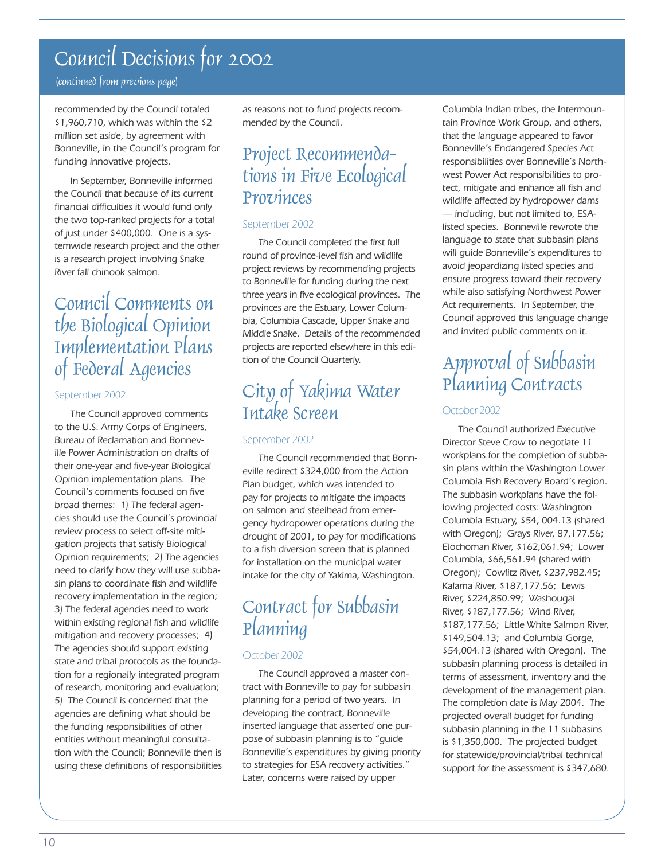# Council Decisions for 2002

#### (continued from previous page)

recommended by the Council totaled \$1,960,710, which was within the \$2 million set aside, by agreement with Bonneville, in the Council's program for funding innovative projects.

In September, Bonneville informed the Council that because of its current financial difficulties it would fund only the two top-ranked projects for a total of just under \$400,000. One is a systemwide research project and the other is a research project involving Snake River fall chinook salmon.

### Council Comments on the Biological Opinion Implementation Plans of Federal Agencies

#### September 2002

The Council approved comments to the U.S. Army Corps of Engineers, Bureau of Reclamation and Bonneville Power Administration on drafts of their one-year and five-year Biological Opinion implementation plans. The Council's comments focused on five broad themes: 1) The federal agencies should use the Council's provincial review process to select off-site mitigation projects that satisfy Biological Opinion requirements; 2) The agencies need to clarify how they will use subbasin plans to coordinate fish and wildlife recovery implementation in the region; 3) The federal agencies need to work within existing regional fish and wildlife mitigation and recovery processes; 4) The agencies should support existing state and tribal protocols as the foundation for a regionally integrated program of research, monitoring and evaluation; 5) The Council is concerned that the agencies are defining what should be the funding responsibilities of other entities without meaningful consultation with the Council; Bonneville then is using these definitions of responsibilities as reasons not to fund projects recommended by the Council.

### Project Recommendations in Five Ecological Provinces

#### September 2002

The Council completed the first full round of province-level fish and wildlife project reviews by recommending projects to Bonneville for funding during the next three years in five ecological provinces. The provinces are the Estuary, Lower Columbia, Columbia Cascade, Upper Snake and Middle Snake. Details of the recommended projects are reported elsewhere in this edition of the Council Quarterly.

# City of Yakima Water Intake Screen

#### September 2002

The Council recommended that Bonneville redirect \$324,000 from the Action Plan budget, which was intended to pay for projects to mitigate the impacts on salmon and steelhead from emergency hydropower operations during the drought of 2001, to pay for modifications to a fish diversion screen that is planned for installation on the municipal water intake for the city of Yakima, Washington.

# Contract for Subbasin Planning

#### October 2002

The Council approved a master contract with Bonneville to pay for subbasin planning for a period of two years. In developing the contract, Bonneville inserted language that asserted one purpose of subbasin planning is to "guide Bonneville's expenditures by giving priority to strategies for ESA recovery activities." Later, concerns were raised by upper

Columbia Indian tribes, the Intermountain Province Work Group, and others, that the language appeared to favor Bonneville's Endangered Species Act responsibilities over Bonneville's Northwest Power Act responsibilities to protect, mitigate and enhance all fish and wildlife affected by hydropower dams — including, but not limited to, ESAlisted species. Bonneville rewrote the language to state that subbasin plans will guide Bonneville's expenditures to avoid jeopardizing listed species and ensure progress toward their recovery while also satisfying Northwest Power Act requirements. In September, the Council approved this language change and invited public comments on it.

# Approval of Subbasin Planning Contracts

#### October 2002

The Council authorized Executive Director Steve Crow to negotiate 11 workplans for the completion of subbasin plans within the Washington Lower Columbia Fish Recovery Board's region. The subbasin workplans have the following projected costs: Washington Columbia Estuary, \$54, 004.13 (shared with Oregon); Grays River, 87,177.56; Elochoman River, \$162,061.94; Lower Columbia, \$66,561.94 (shared with Oregon); Cowlitz River, \$237,982.45; Kalama River, \$187,177.56; Lewis River, \$224,850.99; Washougal River, \$187,177.56; Wind River, \$187,177.56; Little White Salmon River, \$149,504.13; and Columbia Gorge, \$54,004.13 (shared with Oregon). The subbasin planning process is detailed in terms of assessment, inventory and the development of the management plan. The completion date is May 2004. The projected overall budget for funding subbasin planning in the 11 subbasins is \$1,350,000. The projected budget for statewide/provincial/tribal technical support for the assessment is \$347,680.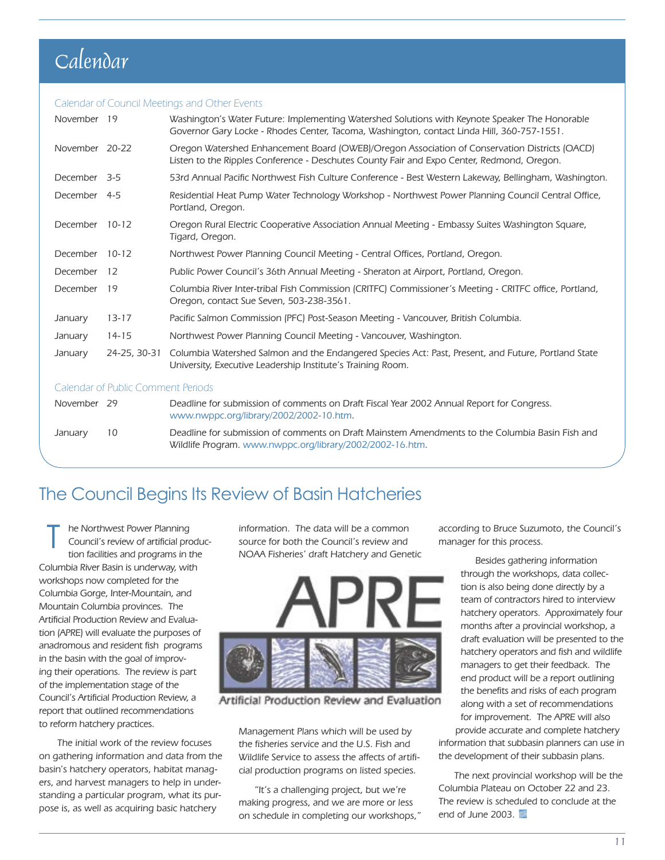# Calendar

|                                           | <b>Calendar of Council Meetings and Other Events</b> |              |                                                                                                                                                                                              |  |  |
|-------------------------------------------|------------------------------------------------------|--------------|----------------------------------------------------------------------------------------------------------------------------------------------------------------------------------------------|--|--|
|                                           | November 19                                          |              | Washington's Water Future: Implementing Watershed Solutions with Keynote Speaker The Honorable<br>Governor Gary Locke - Rhodes Center, Tacoma, Washington, contact Linda Hill, 360-757-1551. |  |  |
|                                           | November 20-22                                       |              | Oregon Watershed Enhancement Board (OWEB)/Oregon Association of Conservation Districts (OACD)<br>Listen to the Ripples Conference - Deschutes County Fair and Expo Center, Redmond, Oregon.  |  |  |
|                                           | December 3-5                                         |              | 53rd Annual Pacific Northwest Fish Culture Conference - Best Western Lakeway, Bellingham, Washington.                                                                                        |  |  |
|                                           | December 4-5                                         |              | Residential Heat Pump Water Technology Workshop - Northwest Power Planning Council Central Office,<br>Portland, Oregon.                                                                      |  |  |
|                                           | December 10-12                                       |              | Oregon Rural Electric Cooperative Association Annual Meeting - Embassy Suites Washington Square,<br>Tigard, Oregon.                                                                          |  |  |
|                                           | December                                             | $10 - 12$    | Northwest Power Planning Council Meeting - Central Offices, Portland, Oregon.                                                                                                                |  |  |
|                                           | December                                             | 12           | Public Power Council's 36th Annual Meeting - Sheraton at Airport, Portland, Oregon.                                                                                                          |  |  |
|                                           | December                                             | - 19         | Columbia River Inter-tribal Fish Commission (CRITFC) Commissioner's Meeting - CRITFC office, Portland,<br>Oregon, contact Sue Seven, 503-238-3561.                                           |  |  |
|                                           | January                                              | $13 - 17$    | Pacific Salmon Commission (PFC) Post-Season Meeting - Vancouver, British Columbia.                                                                                                           |  |  |
|                                           | January                                              | $14 - 15$    | Northwest Power Planning Council Meeting - Vancouver, Washington.                                                                                                                            |  |  |
|                                           | January                                              | 24-25, 30-31 | Columbia Watershed Salmon and the Endangered Species Act: Past, Present, and Future, Portland State<br>University, Executive Leadership Institute's Training Room.                           |  |  |
| <b>Calendar of Public Comment Periods</b> |                                                      |              |                                                                                                                                                                                              |  |  |
|                                           | November 29                                          |              | Deadline for submission of comments on Draft Fiscal Year 2002 Annual Report for Congress.<br>www.nwppc.org/library/2002/2002-10.htm.                                                         |  |  |
|                                           | January                                              | 10           | Deadline for submission of comments on Draft Mainstem Amendments to the Columbia Basin Fish and<br>Wildlife Program. www.nwppc.org/library/2002/2002-16.htm.                                 |  |  |

### The Council Begins Its Review of Basin Hatcheries

he Northwest Power Planning Council's review of artificial production facilities and programs in the Columbia River Basin is underway, with workshops now completed for the Columbia Gorge, Inter-Mountain, and Mountain Columbia provinces. The Artificial Production Review and Evaluation (APRE) will evaluate the purposes of anadromous and resident fish programs in the basin with the goal of improving their operations. The review is part of the implementation stage of the Council's Artificial Production Review, a report that outlined recommendations to reform hatchery practices. T

 The initial work of the review focuses on gathering information and data from the basin's hatchery operators, habitat managers, and harvest managers to help in understanding a particular program, what its purpose is, as well as acquiring basic hatchery

information. The data will be a common source for both the Council's review and NOAA Fisheries' draft Hatchery and Genetic



Artificial Production Review and Evaluation

Management Plans which will be used by the fisheries service and the U.S. Fish and Wildlife Service to assess the affects of artificial production programs on listed species.

"It's a challenging project, but we're making progress, and we are more or less on schedule in completing our workshops," according to Bruce Suzumoto, the Council's manager for this process.

Besides gathering information through the workshops, data collection is also being done directly by a team of contractors hired to interview hatchery operators. Approximately four months after a provincial workshop, a draft evaluation will be presented to the hatchery operators and fish and wildlife managers to get their feedback. The end product will be a report outlining the benefits and risks of each program along with a set of recommendations for improvement. The APRE will also provide accurate and complete hatchery

information that subbasin planners can use in the development of their subbasin plans.

The next provincial workshop will be the Columbia Plateau on October 22 and 23. The review is scheduled to conclude at the end of June 2003.